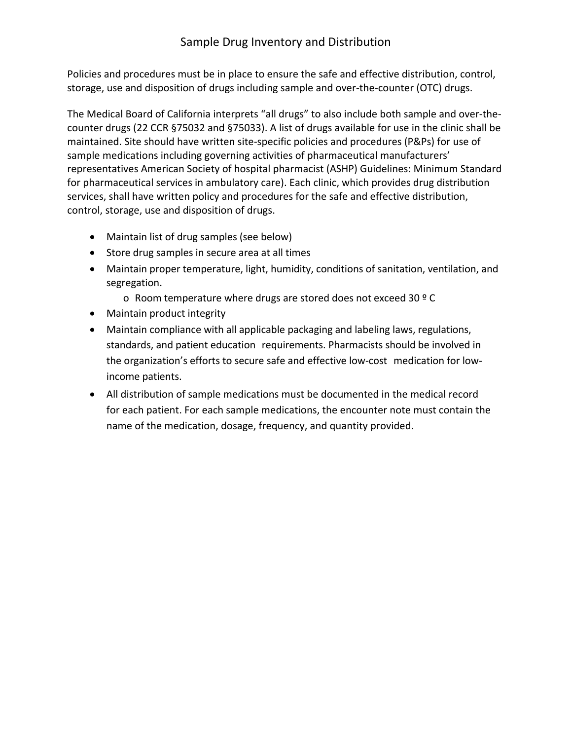## Sample Drug Inventory and Distribution

Policies and procedures must be in place to ensure the safe and effective distribution, control, storage, use and disposition of drugs including sample and over-the-counter (OTC) drugs.

The Medical Board of California interprets "all drugs" to also include both sample and over-thecounter drugs (22 CCR §75032 and §75033). A list of drugs available for use in the clinic shall be maintained. Site should have written site-specific policies and procedures (P&Ps) for use of sample medications including governing activities of pharmaceutical manufacturers' representatives American Society of hospital pharmacist (ASHP) Guidelines: Minimum Standard for pharmaceutical services in ambulatory care). Each clinic, which provides drug distribution services, shall have written policy and procedures for the safe and effective distribution, control, storage, use and disposition of drugs.

- Maintain list of drug samples (see below)
- Store drug samples in secure area at all times
- Maintain proper temperature, light, humidity, conditions of sanitation, ventilation, and segregation.
	- o Room temperature where drugs are stored does not exceed 30 º C
- Maintain product integrity
- Maintain compliance with all applicable packaging and labeling laws, regulations, standards, and patient education requirements. Pharmacists should be involved in the organization's efforts to secure safe and effective low-cost medication for lowincome patients.
- All distribution of sample medications must be documented in the medical record for each patient. For each sample medications, the encounter note must contain the name of the medication, dosage, frequency, and quantity provided.